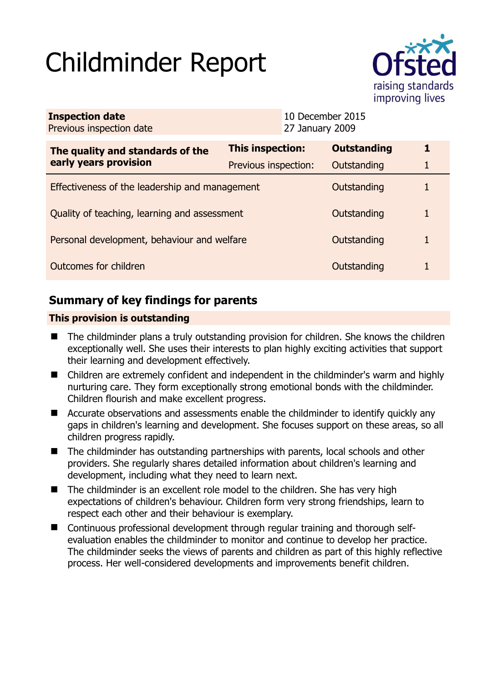# Childminder Report



| <b>Inspection date</b><br>Previous inspection date        | 27 January 2009         | 10 December 2015   |   |
|-----------------------------------------------------------|-------------------------|--------------------|---|
| The quality and standards of the<br>early years provision | <b>This inspection:</b> | <b>Outstanding</b> | 1 |
|                                                           | Previous inspection:    | Outstanding        |   |
| Effectiveness of the leadership and management            |                         | Outstanding        | 1 |
| Quality of teaching, learning and assessment              |                         | Outstanding        | 1 |
| Personal development, behaviour and welfare               |                         | Outstanding        |   |
| Outcomes for children                                     |                         | Outstanding        |   |

# **Summary of key findings for parents**

## **This provision is outstanding**

- The childminder plans a truly outstanding provision for children. She knows the children exceptionally well. She uses their interests to plan highly exciting activities that support their learning and development effectively.
- Children are extremely confident and independent in the childminder's warm and highly nurturing care. They form exceptionally strong emotional bonds with the childminder. Children flourish and make excellent progress.
- Accurate observations and assessments enable the childminder to identify quickly any gaps in children's learning and development. She focuses support on these areas, so all children progress rapidly.
- The childminder has outstanding partnerships with parents, local schools and other providers. She regularly shares detailed information about children's learning and development, including what they need to learn next.
- The childminder is an excellent role model to the children. She has very high expectations of children's behaviour. Children form very strong friendships, learn to respect each other and their behaviour is exemplary.
- Continuous professional development through regular training and thorough selfevaluation enables the childminder to monitor and continue to develop her practice. The childminder seeks the views of parents and children as part of this highly reflective process. Her well-considered developments and improvements benefit children.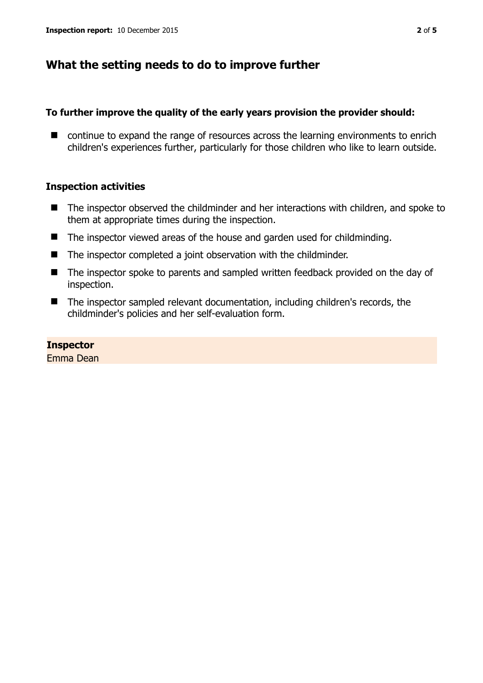## **What the setting needs to do to improve further**

#### **To further improve the quality of the early years provision the provider should:**

■ continue to expand the range of resources across the learning environments to enrich children's experiences further, particularly for those children who like to learn outside.

### **Inspection activities**

- The inspector observed the childminder and her interactions with children, and spoke to them at appropriate times during the inspection.
- The inspector viewed areas of the house and garden used for childminding.
- The inspector completed a joint observation with the childminder.
- The inspector spoke to parents and sampled written feedback provided on the day of inspection.
- The inspector sampled relevant documentation, including children's records, the childminder's policies and her self-evaluation form.

### **Inspector**

Emma Dean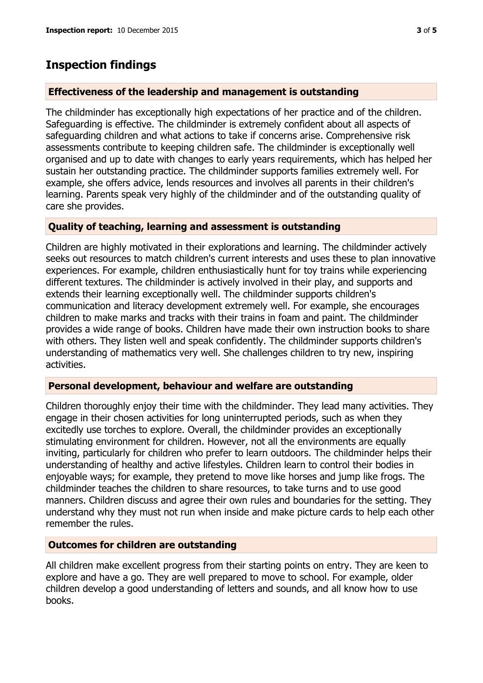## **Inspection findings**

## **Effectiveness of the leadership and management is outstanding**

The childminder has exceptionally high expectations of her practice and of the children. Safeguarding is effective. The childminder is extremely confident about all aspects of safeguarding children and what actions to take if concerns arise. Comprehensive risk assessments contribute to keeping children safe. The childminder is exceptionally well organised and up to date with changes to early years requirements, which has helped her sustain her outstanding practice. The childminder supports families extremely well. For example, she offers advice, lends resources and involves all parents in their children's learning. Parents speak very highly of the childminder and of the outstanding quality of care she provides.

### **Quality of teaching, learning and assessment is outstanding**

Children are highly motivated in their explorations and learning. The childminder actively seeks out resources to match children's current interests and uses these to plan innovative experiences. For example, children enthusiastically hunt for toy trains while experiencing different textures. The childminder is actively involved in their play, and supports and extends their learning exceptionally well. The childminder supports children's communication and literacy development extremely well. For example, she encourages children to make marks and tracks with their trains in foam and paint. The childminder provides a wide range of books. Children have made their own instruction books to share with others. They listen well and speak confidently. The childminder supports children's understanding of mathematics very well. She challenges children to try new, inspiring activities.

## **Personal development, behaviour and welfare are outstanding**

Children thoroughly enjoy their time with the childminder. They lead many activities. They engage in their chosen activities for long uninterrupted periods, such as when they excitedly use torches to explore. Overall, the childminder provides an exceptionally stimulating environment for children. However, not all the environments are equally inviting, particularly for children who prefer to learn outdoors. The childminder helps their understanding of healthy and active lifestyles. Children learn to control their bodies in enjoyable ways; for example, they pretend to move like horses and jump like frogs. The childminder teaches the children to share resources, to take turns and to use good manners. Children discuss and agree their own rules and boundaries for the setting. They understand why they must not run when inside and make picture cards to help each other remember the rules.

### **Outcomes for children are outstanding**

All children make excellent progress from their starting points on entry. They are keen to explore and have a go. They are well prepared to move to school. For example, older children develop a good understanding of letters and sounds, and all know how to use books.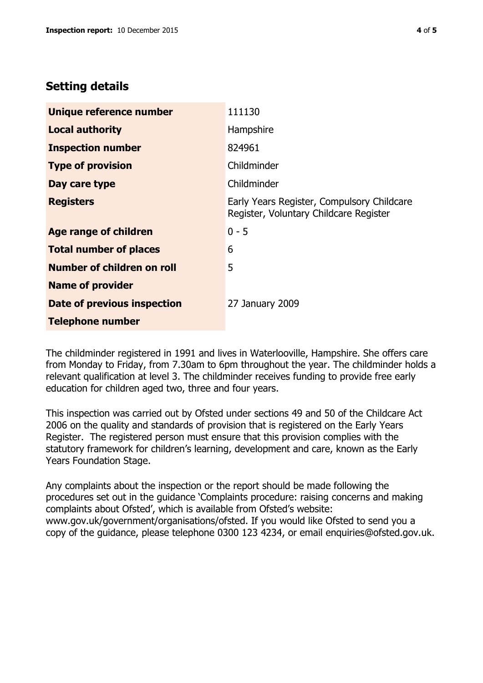## **Setting details**

| Unique reference number       | 111130                                                                               |
|-------------------------------|--------------------------------------------------------------------------------------|
| <b>Local authority</b>        | Hampshire                                                                            |
| <b>Inspection number</b>      | 824961                                                                               |
| <b>Type of provision</b>      | Childminder                                                                          |
| Day care type                 | Childminder                                                                          |
| <b>Registers</b>              | Early Years Register, Compulsory Childcare<br>Register, Voluntary Childcare Register |
| Age range of children         | $0 - 5$                                                                              |
| <b>Total number of places</b> | 6                                                                                    |
| Number of children on roll    | 5                                                                                    |
| <b>Name of provider</b>       |                                                                                      |
| Date of previous inspection   | 27 January 2009                                                                      |
| <b>Telephone number</b>       |                                                                                      |

The childminder registered in 1991 and lives in Waterlooville, Hampshire. She offers care from Monday to Friday, from 7.30am to 6pm throughout the year. The childminder holds a relevant qualification at level 3. The childminder receives funding to provide free early education for children aged two, three and four years.

This inspection was carried out by Ofsted under sections 49 and 50 of the Childcare Act 2006 on the quality and standards of provision that is registered on the Early Years Register. The registered person must ensure that this provision complies with the statutory framework for children's learning, development and care, known as the Early Years Foundation Stage.

Any complaints about the inspection or the report should be made following the procedures set out in the guidance 'Complaints procedure: raising concerns and making complaints about Ofsted', which is available from Ofsted's website: www.gov.uk/government/organisations/ofsted. If you would like Ofsted to send you a copy of the guidance, please telephone 0300 123 4234, or email enquiries@ofsted.gov.uk.